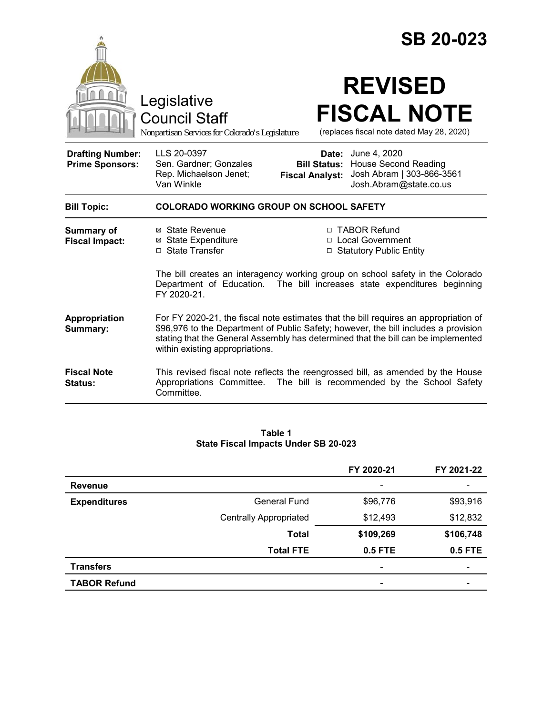|                                                   |                                                                                                                                                                                                                                                                                                     |                                                        | <b>SB 20-023</b>                                                                                                                                          |
|---------------------------------------------------|-----------------------------------------------------------------------------------------------------------------------------------------------------------------------------------------------------------------------------------------------------------------------------------------------------|--------------------------------------------------------|-----------------------------------------------------------------------------------------------------------------------------------------------------------|
|                                                   | Legislative<br><b>Council Staff</b><br>Nonpartisan Services for Colorado's Legislature                                                                                                                                                                                                              |                                                        | <b>REVISED</b><br><b>FISCAL NOTE</b><br>(replaces fiscal note dated May 28, 2020)                                                                         |
| <b>Drafting Number:</b><br><b>Prime Sponsors:</b> | LLS 20-0397<br>Sen. Gardner; Gonzales<br>Rep. Michaelson Jenet;<br>Van Winkle                                                                                                                                                                                                                       | Date:<br><b>Bill Status:</b><br><b>Fiscal Analyst:</b> | June 4, 2020<br><b>House Second Reading</b><br>Josh Abram   303-866-3561<br>Josh.Abram@state.co.us                                                        |
| <b>Bill Topic:</b>                                | <b>COLORADO WORKING GROUP ON SCHOOL SAFETY</b>                                                                                                                                                                                                                                                      |                                                        |                                                                                                                                                           |
| <b>Summary of</b><br><b>Fiscal Impact:</b>        | ⊠ State Revenue<br><b>⊠</b> State Expenditure<br>□ State Transfer                                                                                                                                                                                                                                   |                                                        | □ TABOR Refund<br>□ Local Government<br>□ Statutory Public Entity                                                                                         |
|                                                   | Department of Education.<br>FY 2020-21.                                                                                                                                                                                                                                                             |                                                        | The bill creates an interagency working group on school safety in the Colorado<br>The bill increases state expenditures beginning                         |
| Appropriation<br>Summary:                         | For FY 2020-21, the fiscal note estimates that the bill requires an appropriation of<br>\$96,976 to the Department of Public Safety; however, the bill includes a provision<br>stating that the General Assembly has determined that the bill can be implemented<br>within existing appropriations. |                                                        |                                                                                                                                                           |
| <b>Fiscal Note</b><br>Status:                     | Committee.                                                                                                                                                                                                                                                                                          |                                                        | This revised fiscal note reflects the reengrossed bill, as amended by the House<br>Appropriations Committee. The bill is recommended by the School Safety |

#### **Table 1 State Fiscal Impacts Under SB 20-023**

|                     |                               | FY 2020-21 | FY 2021-22 |
|---------------------|-------------------------------|------------|------------|
| <b>Revenue</b>      |                               | -          |            |
| <b>Expenditures</b> | <b>General Fund</b>           | \$96,776   | \$93,916   |
|                     | <b>Centrally Appropriated</b> | \$12,493   | \$12,832   |
|                     | <b>Total</b>                  | \$109,269  | \$106,748  |
|                     | <b>Total FTE</b>              | 0.5 FTE    | 0.5 FTE    |
| <b>Transfers</b>    |                               |            |            |
| <b>TABOR Refund</b> |                               |            |            |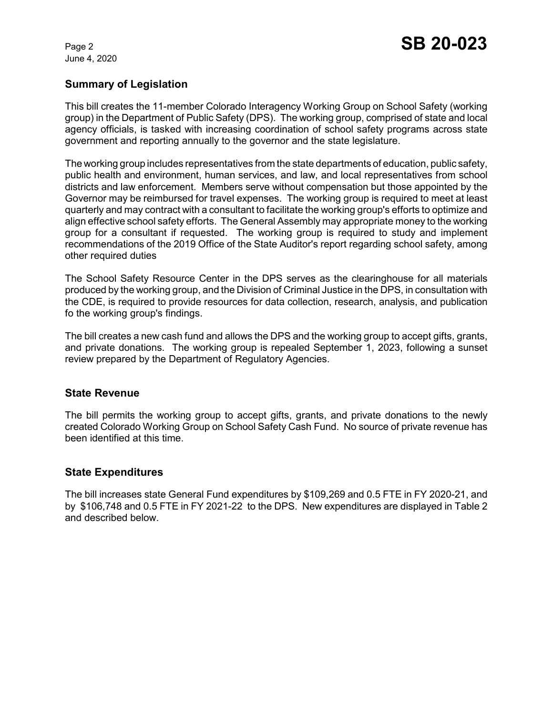June 4, 2020

# **Summary of Legislation**

This bill creates the 11-member Colorado Interagency Working Group on School Safety (working group) in the Department of Public Safety (DPS). The working group, comprised of state and local agency officials, is tasked with increasing coordination of school safety programs across state government and reporting annually to the governor and the state legislature.

The working group includes representatives from the state departments of education, public safety, public health and environment, human services, and law, and local representatives from school districts and law enforcement. Members serve without compensation but those appointed by the Governor may be reimbursed for travel expenses. The working group is required to meet at least quarterly and may contract with a consultant to facilitate the working group's efforts to optimize and align effective school safety efforts. The General Assembly may appropriate money to the working group for a consultant if requested. The working group is required to study and implement recommendations of the 2019 Office of the State Auditor's report regarding school safety, among other required duties

The School Safety Resource Center in the DPS serves as the clearinghouse for all materials produced by the working group, and the Division of Criminal Justice in the DPS, in consultation with the CDE, is required to provide resources for data collection, research, analysis, and publication fo the working group's findings.

The bill creates a new cash fund and allows the DPS and the working group to accept gifts, grants, and private donations. The working group is repealed September 1, 2023, following a sunset review prepared by the Department of Regulatory Agencies.

### **State Revenue**

The bill permits the working group to accept gifts, grants, and private donations to the newly created Colorado Working Group on School Safety Cash Fund. No source of private revenue has been identified at this time.

### **State Expenditures**

The bill increases state General Fund expenditures by \$109,269 and 0.5 FTE in FY 2020-21, and by \$106,748 and 0.5 FTE in FY 2021-22 to the DPS. New expenditures are displayed in Table 2 and described below.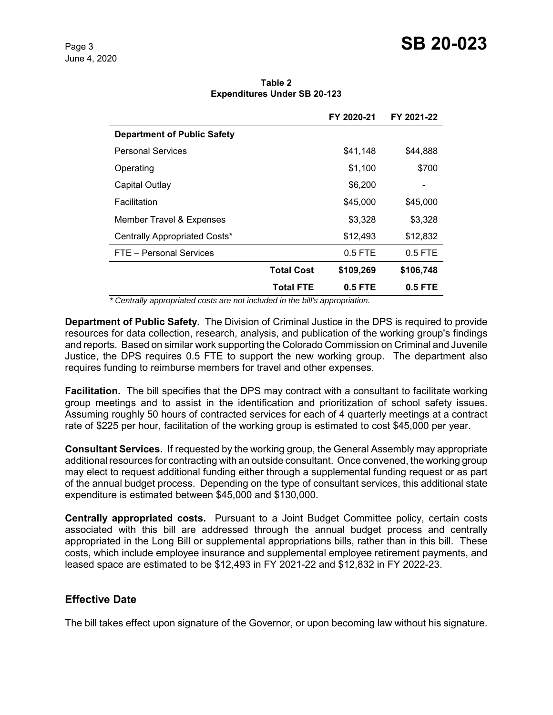| Table 2                             |  |  |  |  |  |
|-------------------------------------|--|--|--|--|--|
| <b>Expenditures Under SB 20-123</b> |  |  |  |  |  |

|                                    |                   | FY 2020-21 | FY 2021-22 |
|------------------------------------|-------------------|------------|------------|
| <b>Department of Public Safety</b> |                   |            |            |
| <b>Personal Services</b>           |                   | \$41,148   | \$44,888   |
| Operating                          |                   | \$1,100    | \$700      |
| Capital Outlay                     |                   | \$6,200    |            |
| Facilitation                       |                   | \$45,000   | \$45,000   |
| Member Travel & Expenses           |                   | \$3,328    | \$3,328    |
| Centrally Appropriated Costs*      |                   | \$12,493   | \$12,832   |
| FTE - Personal Services            |                   | $0.5$ FTE  | $0.5$ FTE  |
|                                    | <b>Total Cost</b> | \$109,269  | \$106,748  |
|                                    | <b>Total FTE</b>  | $0.5$ FTE  | 0.5 FTE    |

 *\* Centrally appropriated costs are not included in the bill's appropriation.*

**Department of Public Safety.** The Division of Criminal Justice in the DPS is required to provide resources for data collection, research, analysis, and publication of the working group's findings and reports. Based on similar work supporting the Colorado Commission on Criminal and Juvenile Justice, the DPS requires 0.5 FTE to support the new working group. The department also requires funding to reimburse members for travel and other expenses.

**Facilitation.** The bill specifies that the DPS may contract with a consultant to facilitate working group meetings and to assist in the identification and prioritization of school safety issues. Assuming roughly 50 hours of contracted services for each of 4 quarterly meetings at a contract rate of \$225 per hour, facilitation of the working group is estimated to cost \$45,000 per year.

**Consultant Services.** If requested by the working group, the General Assembly may appropriate additional resources for contracting with an outside consultant. Once convened, the working group may elect to request additional funding either through a supplemental funding request or as part of the annual budget process. Depending on the type of consultant services, this additional state expenditure is estimated between \$45,000 and \$130,000.

**Centrally appropriated costs.** Pursuant to a Joint Budget Committee policy, certain costs associated with this bill are addressed through the annual budget process and centrally appropriated in the Long Bill or supplemental appropriations bills, rather than in this bill. These costs, which include employee insurance and supplemental employee retirement payments, and leased space are estimated to be \$12,493 in FY 2021-22 and \$12,832 in FY 2022-23.

# **Effective Date**

The bill takes effect upon signature of the Governor, or upon becoming law without his signature.